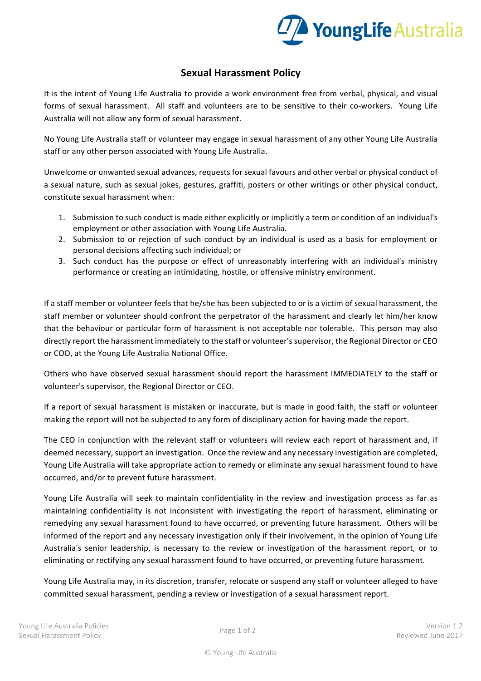

## **Sexual Harassment Policy**

It is the intent of Young Life Australia to provide a work environment free from verbal, physical, and visual forms of sexual harassment. All staff and volunteers are to be sensitive to their co-workers. Young Life Australia will not allow any form of sexual harassment.

No Young Life Australia staff or volunteer may engage in sexual harassment of any other Young Life Australia staff or any other person associated with Young Life Australia.

Unwelcome or unwanted sexual advances, requests for sexual favours and other verbal or physical conduct of a sexual nature, such as sexual jokes, gestures, graffiti, posters or other writings or other physical conduct, constitute sexual harassment when:

- 1. Submission to such conduct is made either explicitly or implicitly a term or condition of an individual's employment or other association with Young Life Australia.
- 2. Submission to or rejection of such conduct by an individual is used as a basis for employment or personal decisions affecting such individual; or
- 3. Such conduct has the purpose or effect of unreasonably interfering with an individual's ministry performance or creating an intimidating, hostile, or offensive ministry environment.

If a staff member or volunteer feels that he/she has been subjected to or is a victim of sexual harassment, the staff member or volunteer should confront the perpetrator of the harassment and clearly let him/her know that the behaviour or particular form of harassment is not acceptable nor tolerable. This person may also directly report the harassment immediately to the staff or volunteer's supervisor, the Regional Director or CEO or COO, at the Young Life Australia National Office.

Others who have observed sexual harassment should report the harassment IMMEDIATELY to the staff or volunteer's supervisor, the Regional Director or CEO.

If a report of sexual harassment is mistaken or inaccurate, but is made in good faith, the staff or volunteer making the report will not be subjected to any form of disciplinary action for having made the report.

The CEO in conjunction with the relevant staff or volunteers will review each report of harassment and, if deemed necessary, support an investigation. Once the review and any necessary investigation are completed, Young Life Australia will take appropriate action to remedy or eliminate any sexual harassment found to have occurred, and/or to prevent future harassment.

Young Life Australia will seek to maintain confidentiality in the review and investigation process as far as maintaining confidentiality is not inconsistent with investigating the report of harassment, eliminating or remedying any sexual harassment found to have occurred, or preventing future harassment. Others will be informed of the report and any necessary investigation only if their involvement, in the opinion of Young Life Australia's senior leadership, is necessary to the review or investigation of the harassment report, or to eliminating or rectifying any sexual harassment found to have occurred, or preventing future harassment.

Young Life Australia may, in its discretion, transfer, relocate or suspend any staff or volunteer alleged to have committed sexual harassment, pending a review or investigation of a sexual harassment report.